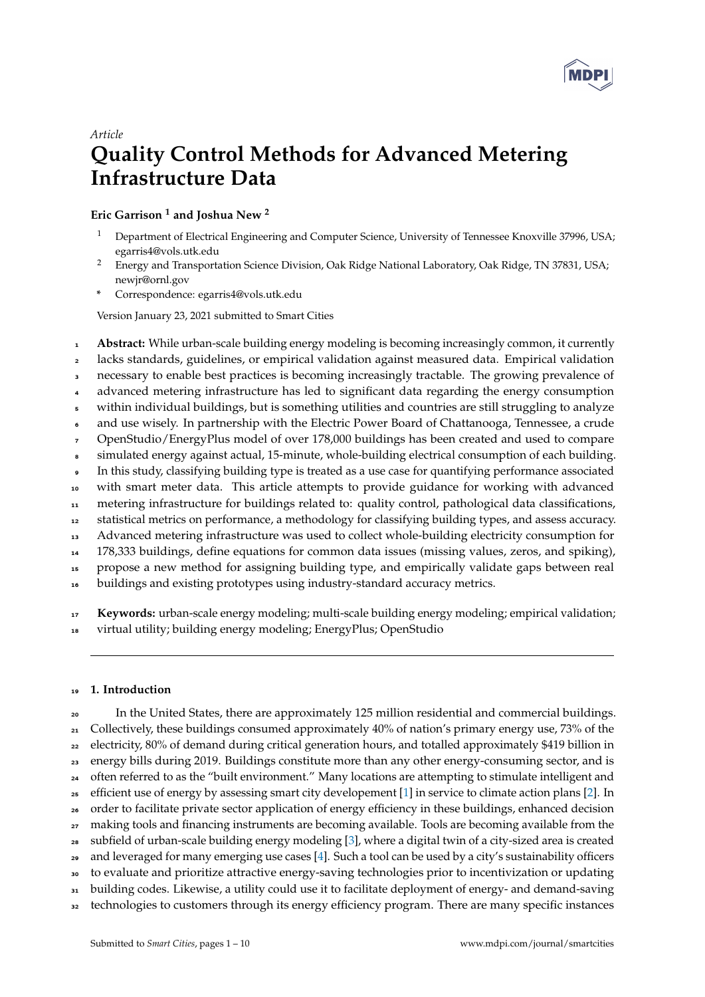

# *Article*

# **Quality Control Methods for Advanced Metering Infrastructure Data**

**Eric Garrison <sup>1</sup> and Joshua New <sup>2</sup>**

- <sup>1</sup> Department of Electrical Engineering and Computer Science, University of Tennessee Knoxville 37996, USA; egarris4@vols.utk.edu
- <sup>2</sup> Energy and Transportation Science Division, Oak Ridge National Laboratory, Oak Ridge, TN 37831, USA; newjr@ornl.gov
- **\*** Correspondence: egarris4@vols.utk.edu

Version January 23, 2021 submitted to Smart Cities

- **Abstract:** While urban-scale building energy modeling is becoming increasingly common, it currently
- lacks standards, guidelines, or empirical validation against measured data. Empirical validation
- necessary to enable best practices is becoming increasingly tractable. The growing prevalence of
- advanced metering infrastructure has led to significant data regarding the energy consumption
- within individual buildings, but is something utilities and countries are still struggling to analyze
- and use wisely. In partnership with the Electric Power Board of Chattanooga, Tennessee, a crude
- OpenStudio/EnergyPlus model of over 178,000 buildings has been created and used to compare simulated energy against actual, 15-minute, whole-building electrical consumption of each building.
- In this study, classifying building type is treated as a use case for quantifying performance associated
- with smart meter data. This article attempts to provide guidance for working with advanced
- metering infrastructure for buildings related to: quality control, pathological data classifications,
- statistical metrics on performance, a methodology for classifying building types, and assess accuracy.
- Advanced metering infrastructure was used to collect whole-building electricity consumption for
- 178,333 buildings, define equations for common data issues (missing values, zeros, and spiking),
- propose a new method for assigning building type, and empirically validate gaps between real
- buildings and existing prototypes using industry-standard accuracy metrics.

**Keywords:** urban-scale energy modeling; multi-scale building energy modeling; empirical validation;

virtual utility; building energy modeling; EnergyPlus; OpenStudio

## **1. Introduction**

<sup>20</sup> In the United States, there are approximately 125 million residential and commercial buildings. 21 Collectively, these buildings consumed approximately 40% of nation's primary energy use, 73% of the electricity, 80% of demand during critical generation hours, and totalled approximately \$419 billion in energy bills during 2019. Buildings constitute more than any other energy-consuming sector, and is <sup>24</sup> often referred to as the "built environment." Many locations are attempting to stimulate intelligent and efficient use of energy by assessing smart city developement [\[1\]](#page-7-0) in service to climate action plans [\[2\]](#page-7-1). In order to facilitate private sector application of energy efficiency in these buildings, enhanced decision <sub>27</sub> making tools and financing instruments are becoming available. Tools are becoming available from the subfield of urban-scale building energy modeling [\[3\]](#page-8-0), where a digital twin of a city-sized area is created and leveraged for many emerging use cases [\[4\]](#page-8-1). Such a tool can be used by a city's sustainability officers to evaluate and prioritize attractive energy-saving technologies prior to incentivization or updating building codes. Likewise, a utility could use it to facilitate deployment of energy- and demand-saving <sup>32</sup> technologies to customers through its energy efficiency program. There are many specific instances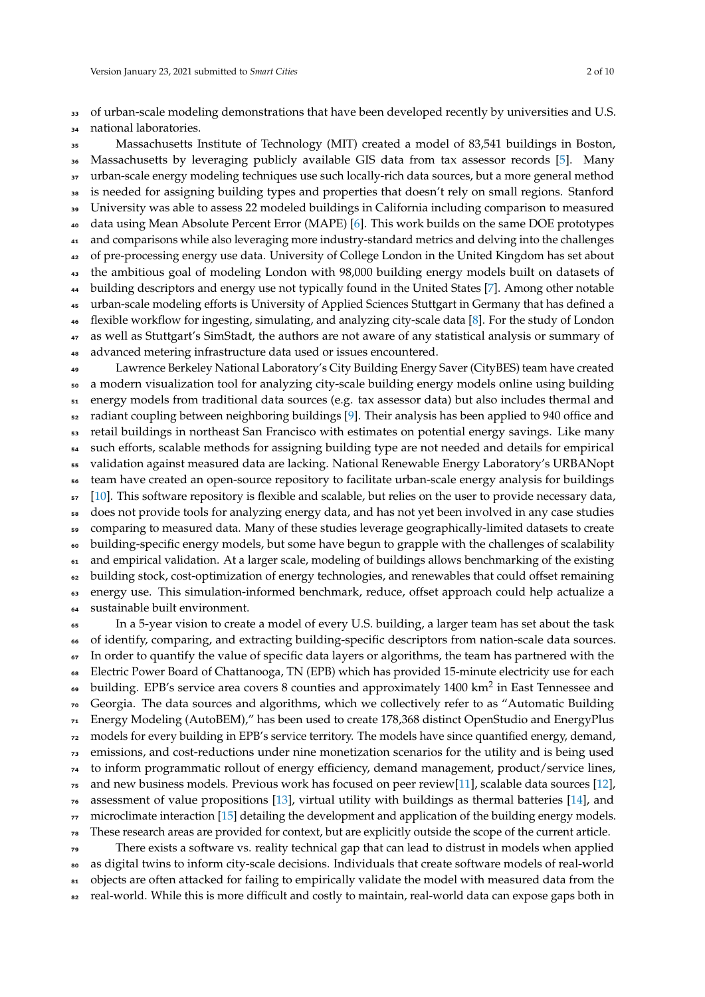<sup>33</sup> of urban-scale modeling demonstrations that have been developed recently by universities and U.S.

national laboratories.

 Massachusetts Institute of Technology (MIT) created a model of 83,541 buildings in Boston, Massachusetts by leveraging publicly available GIS data from tax assessor records [\[5\]](#page-8-2). Many urban-scale energy modeling techniques use such locally-rich data sources, but a more general method is needed for assigning building types and properties that doesn't rely on small regions. Stanford University was able to assess 22 modeled buildings in California including comparison to measured data using Mean Absolute Percent Error (MAPE) [\[6\]](#page-8-3). This work builds on the same DOE prototypes and comparisons while also leveraging more industry-standard metrics and delving into the challenges <sup>42</sup> of pre-processing energy use data. University of College London in the United Kingdom has set about the ambitious goal of modeling London with 98,000 building energy models built on datasets of building descriptors and energy use not typically found in the United States [\[7\]](#page-8-4). Among other notable urban-scale modeling efforts is University of Applied Sciences Stuttgart in Germany that has defined a flexible workflow for ingesting, simulating, and analyzing city-scale data [\[8\]](#page-8-5). For the study of London 47 as well as Stuttgart's SimStadt, the authors are not aware of any statistical analysis or summary of advanced metering infrastructure data used or issues encountered. Lawrence Berkeley National Laboratory's City Building Energy Saver (CityBES) team have created a modern visualization tool for analyzing city-scale building energy models online using building energy models from traditional data sources (e.g. tax assessor data) but also includes thermal and radiant coupling between neighboring buildings [\[9\]](#page-8-6). Their analysis has been applied to 940 office and <sub>53</sub> retail buildings in northeast San Francisco with estimates on potential energy savings. Like many such efforts, scalable methods for assigning building type are not needed and details for empirical validation against measured data are lacking. National Renewable Energy Laboratory's URBANopt team have created an open-source repository to facilitate urban-scale energy analysis for buildings [\[10\]](#page-8-7). This software repository is flexible and scalable, but relies on the user to provide necessary data, does not provide tools for analyzing energy data, and has not yet been involved in any case studies comparing to measured data. Many of these studies leverage geographically-limited datasets to create building-specific energy models, but some have begun to grapple with the challenges of scalability <sup>61</sup> and empirical validation. At a larger scale, modeling of buildings allows benchmarking of the existing <sup>62</sup> building stock, cost-optimization of energy technologies, and renewables that could offset remaining energy use. This simulation-informed benchmark, reduce, offset approach could help actualize a sustainable built environment. In a 5-year vision to create a model of every U.S. building, a larger team has set about the task of identify, comparing, and extracting building-specific descriptors from nation-scale data sources. In order to quantify the value of specific data layers or algorithms, the team has partnered with the Electric Power Board of Chattanooga, TN (EPB) which has provided 15-minute electricity use for each

 $\bullet\bullet\;$  building. EPB's service area covers 8 counties and approximately 1400 km $^2$  in East Tennessee and

Georgia. The data sources and algorithms, which we collectively refer to as "Automatic Building

 Energy Modeling (AutoBEM)," has been used to create 178,368 distinct OpenStudio and EnergyPlus models for every building in EPB's service territory. The models have since quantified energy, demand,

emissions, and cost-reductions under nine monetization scenarios for the utility and is being used

to inform programmatic rollout of energy efficiency, demand management, product/service lines,

and new business models. Previous work has focused on peer review[\[11\]](#page-8-8), scalable data sources [\[12\]](#page-8-9),

assessment of value propositions [\[13\]](#page-8-10), virtual utility with buildings as thermal batteries [\[14\]](#page-8-11), and

microclimate interaction [\[15\]](#page-8-12) detailing the development and application of the building energy models.

These research areas are provided for context, but are explicitly outside the scope of the current article.

There exists a software vs. reality technical gap that can lead to distrust in models when applied

as digital twins to inform city-scale decisions. Individuals that create software models of real-world

81 objects are often attacked for failing to empirically validate the model with measured data from the <sup>82</sup> real-world. While this is more difficult and costly to maintain, real-world data can expose gaps both in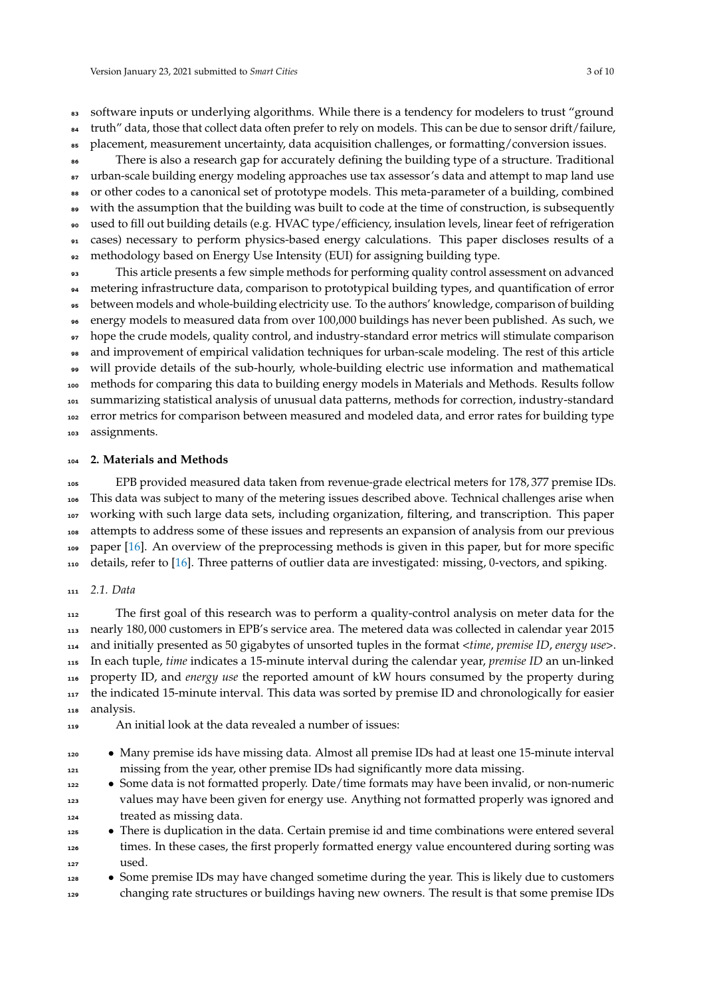83 software inputs or underlying algorithms. While there is a tendency for modelers to trust "ground truth" data, those that collect data often prefer to rely on models. This can be due to sensor drift/failure, placement, measurement uncertainty, data acquisition challenges, or formatting/conversion issues. There is also a research gap for accurately defining the building type of a structure. Traditional 87 urban-scale building energy modeling approaches use tax assessor's data and attempt to map land use 88 or other codes to a canonical set of prototype models. This meta-parameter of a building, combined with the assumption that the building was built to code at the time of construction, is subsequently used to fill out building details (e.g. HVAC type/efficiency, insulation levels, linear feet of refrigeration

 cases) necessary to perform physics-based energy calculations. This paper discloses results of a methodology based on Energy Use Intensity (EUI) for assigning building type.

 This article presents a few simple methods for performing quality control assessment on advanced metering infrastructure data, comparison to prototypical building types, and quantification of error between models and whole-building electricity use. To the authors' knowledge, comparison of building energy models to measured data from over 100,000 buildings has never been published. As such, we hope the crude models, quality control, and industry-standard error metrics will stimulate comparison and improvement of empirical validation techniques for urban-scale modeling. The rest of this article will provide details of the sub-hourly, whole-building electric use information and mathematical methods for comparing this data to building energy models in Materials and Methods. Results follow summarizing statistical analysis of unusual data patterns, methods for correction, industry-standard 102 error metrics for comparison between measured and modeled data, and error rates for building type assignments.

## **2. Materials and Methods**

 EPB provided measured data taken from revenue-grade electrical meters for 178, 377 premise IDs. This data was subject to many of the metering issues described above. Technical challenges arise when working with such large data sets, including organization, filtering, and transcription. This paper attempts to address some of these issues and represents an expansion of analysis from our previous paper [\[16\]](#page-8-13). An overview of the preprocessing methods is given in this paper, but for more specific details, refer to [\[16\]](#page-8-13). Three patterns of outlier data are investigated: missing, 0-vectors, and spiking.

*2.1. Data*

 The first goal of this research was to perform a quality-control analysis on meter data for the nearly 180, 000 customers in EPB's service area. The metered data was collected in calendar year 2015 and initially presented as 50 gigabytes of unsorted tuples in the format <*time*, *premise ID*, *energy use*>. In each tuple, *time* indicates a 15-minute interval during the calendar year, *premise ID* an un-linked property ID, and *energy use* the reported amount of kW hours consumed by the property during <sub>117</sub> the indicated 15-minute interval. This data was sorted by premise ID and chronologically for easier analysis.

- An initial look at the data revealed a number of issues:
- Many premise ids have missing data. Almost all premise IDs had at least one 15-minute interval missing from the year, other premise IDs had significantly more data missing.
- Some data is not formatted properly. Date/time formats may have been invalid, or non-numeric values may have been given for energy use. Anything not formatted properly was ignored and treated as missing data.
- <sup>125</sup> There is duplication in the data. Certain premise id and time combinations were entered several times. In these cases, the first properly formatted energy value encountered during sorting was used.
- <sup>128</sup> Some premise IDs may have changed sometime during the year. This is likely due to customers changing rate structures or buildings having new owners. The result is that some premise IDs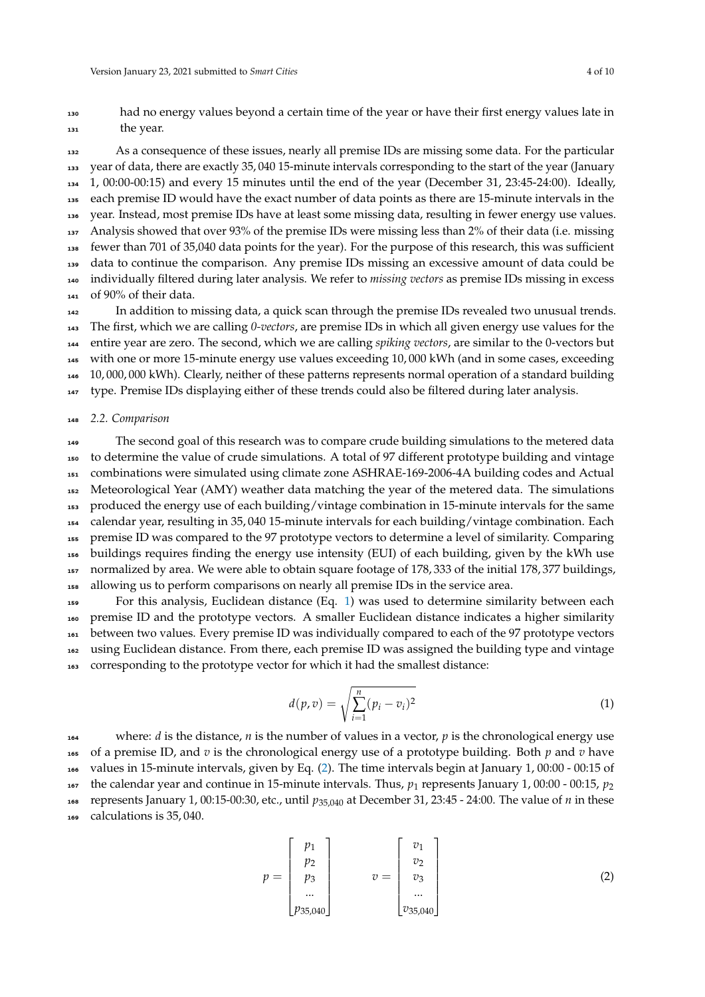<sup>130</sup> had no energy values beyond a certain time of the year or have their first energy values late in <sup>131</sup> the year.

 As a consequence of these issues, nearly all premise IDs are missing some data. For the particular year of data, there are exactly 35, 040 15-minute intervals corresponding to the start of the year (January 1, 00:00-00:15) and every 15 minutes until the end of the year (December 31, 23:45-24:00). Ideally, each premise ID would have the exact number of data points as there are 15-minute intervals in the year. Instead, most premise IDs have at least some missing data, resulting in fewer energy use values. Analysis showed that over 93% of the premise IDs were missing less than 2% of their data (i.e. missing fewer than 701 of 35,040 data points for the year). For the purpose of this research, this was sufficient data to continue the comparison. Any premise IDs missing an excessive amount of data could be individually filtered during later analysis. We refer to *missing vectors* as premise IDs missing in excess of 90% of their data.

In addition to missing data, a quick scan through the premise IDs revealed two unusual trends. The first, which we are calling *0-vectors*, are premise IDs in which all given energy use values for the entire year are zero. The second, which we are calling *spiking vectors*, are similar to the 0-vectors but with one or more 15-minute energy use values exceeding 10, 000 kWh (and in some cases, exceeding 10, 000, 000 kWh). Clearly, neither of these patterns represents normal operation of a standard building type. Premise IDs displaying either of these trends could also be filtered during later analysis.

#### <sup>148</sup> *2.2. Comparison*

<sub>149</sub> The second goal of this research was to compare crude building simulations to the metered data to determine the value of crude simulations. A total of 97 different prototype building and vintage combinations were simulated using climate zone ASHRAE-169-2006-4A building codes and Actual Meteorological Year (AMY) weather data matching the year of the metered data. The simulations produced the energy use of each building/vintage combination in 15-minute intervals for the same calendar year, resulting in 35, 040 15-minute intervals for each building/vintage combination. Each premise ID was compared to the 97 prototype vectors to determine a level of similarity. Comparing buildings requires finding the energy use intensity (EUI) of each building, given by the kWh use normalized by area. We were able to obtain square footage of 178, 333 of the initial 178, 377 buildings, allowing us to perform comparisons on nearly all premise IDs in the service area.

 For this analysis, Euclidean distance (Eq. [1\)](#page-3-0) was used to determine similarity between each premise ID and the prototype vectors. A smaller Euclidean distance indicates a higher similarity between two values. Every premise ID was individually compared to each of the 97 prototype vectors using Euclidean distance. From there, each premise ID was assigned the building type and vintage corresponding to the prototype vector for which it had the smallest distance:

<span id="page-3-0"></span>
$$
d(p, v) = \sqrt{\sum_{i=1}^{n} (p_i - v_i)^2}
$$
 (1)

 where: *d* is the distance, *n* is the number of values in a vector, *p* is the chronological energy use of a premise ID, and *v* is the chronological energy use of a prototype building. Both *p* and *v* have values in 15-minute intervals, given by Eq. [\(2\)](#page-3-1). The time intervals begin at January 1, 00:00 - 00:15 of 167 the calendar year and continue in 15-minute intervals. Thus,  $p_1$  represents January 1, 00:00 - 00:15,  $p_2$  represents January 1, 00:15-00:30, etc., until *p*35,040 at December 31, 23:45 - 24:00. The value of *n* in these calculations is 35, 040.

<span id="page-3-1"></span>
$$
p = \begin{bmatrix} p_1 \\ p_2 \\ p_3 \\ \dots \\ p_{35,040} \end{bmatrix} \qquad v = \begin{bmatrix} v_1 \\ v_2 \\ v_3 \\ \dots \\ v_{35,040} \end{bmatrix}
$$
 (2)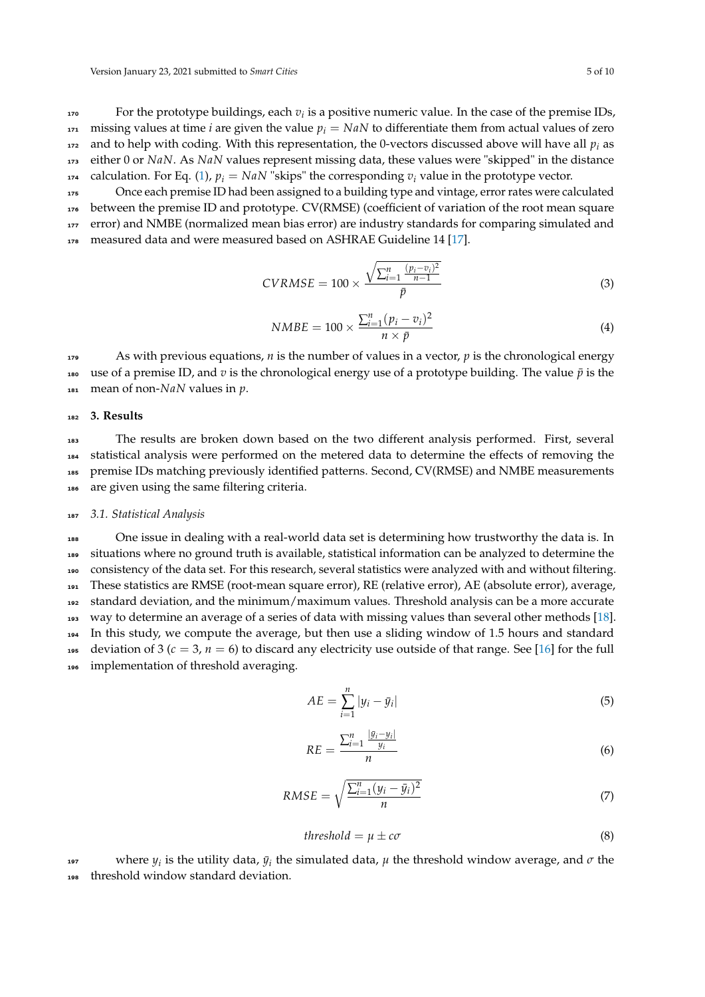For the prototype buildings, each  $v_i$  is a positive numeric value. In the case of the premise IDs, 171 missing values at time *i* are given the value  $p_i = NaN$  to differentiate them from actual values of zero  $172$  and to help with coding. With this representation, the 0-vectors discussed above will have all  $p_i$  as <sup>173</sup> either 0 or *NaN*. As *NaN* values represent missing data, these values were "skipped" in the distance 174 calculation. For Eq. [\(1\)](#page-3-0),  $p_i = NaN$  "skips" the corresponding  $v_i$  value in the prototype vector.

<sup>175</sup> Once each premise ID had been assigned to a building type and vintage, error rates were calculated <sup>176</sup> between the premise ID and prototype. CV(RMSE) (coefficient of variation of the root mean square 177 error) and NMBE (normalized mean bias error) are industry standards for comparing simulated and 178 measured data and were measured based on ASHRAE Guideline 14 [\[17\]](#page-8-14).

$$
CVRMSE = 100 \times \frac{\sqrt{\sum_{i=1}^{n} \frac{(p_i - v_i)^2}{n-1}}}{\bar{p}}
$$
(3)

$$
NMBE = 100 \times \frac{\sum_{i=1}^{n} (p_i - v_i)^2}{n \times \bar{p}}
$$
\n(4)

<sup>179</sup> As with previous equations, *n* is the number of values in a vector, *p* is the chronological energy 180 use of a premise ID, and  $v$  is the chronological energy use of a prototype building. The value  $\bar{p}$  is the <sup>181</sup> mean of non-*NaN* values in *p*.

#### <sup>182</sup> **3. Results**

 The results are broken down based on the two different analysis performed. First, several statistical analysis were performed on the metered data to determine the effects of removing the premise IDs matching previously identified patterns. Second, CV(RMSE) and NMBE measurements are given using the same filtering criteria.

#### <sup>187</sup> *3.1. Statistical Analysis*

 One issue in dealing with a real-world data set is determining how trustworthy the data is. In situations where no ground truth is available, statistical information can be analyzed to determine the consistency of the data set. For this research, several statistics were analyzed with and without filtering. These statistics are RMSE (root-mean square error), RE (relative error), AE (absolute error), average, standard deviation, and the minimum/maximum values. Threshold analysis can be a more accurate way to determine an average of a series of data with missing values than several other methods [\[18\]](#page-8-15). In this study, we compute the average, but then use a sliding window of 1.5 hours and standard 195 deviation of 3 ( $c = 3$ ,  $n = 6$ ) to discard any electricity use outside of that range. See [\[16\]](#page-8-13) for the full implementation of threshold averaging.

$$
AE = \sum_{i=1}^{n} |y_i - \bar{y}_i| \tag{5}
$$

$$
RE = \frac{\sum_{i=1}^{n} \frac{|y_i - y_i|}{y_i}}{n} \tag{6}
$$

$$
RMSE = \sqrt{\frac{\sum_{i=1}^{n} (y_i - \bar{y}_i)^2}{n}}
$$
\n
$$
\tag{7}
$$

<span id="page-4-0"></span>
$$
threshold = \mu \pm c\sigma \tag{8}
$$

 $197$  where  $y_i$  is the utility data,  $\bar{y}_i$  the simulated data,  $\mu$  the threshold window average, and *σ* the threshold window standard deviation.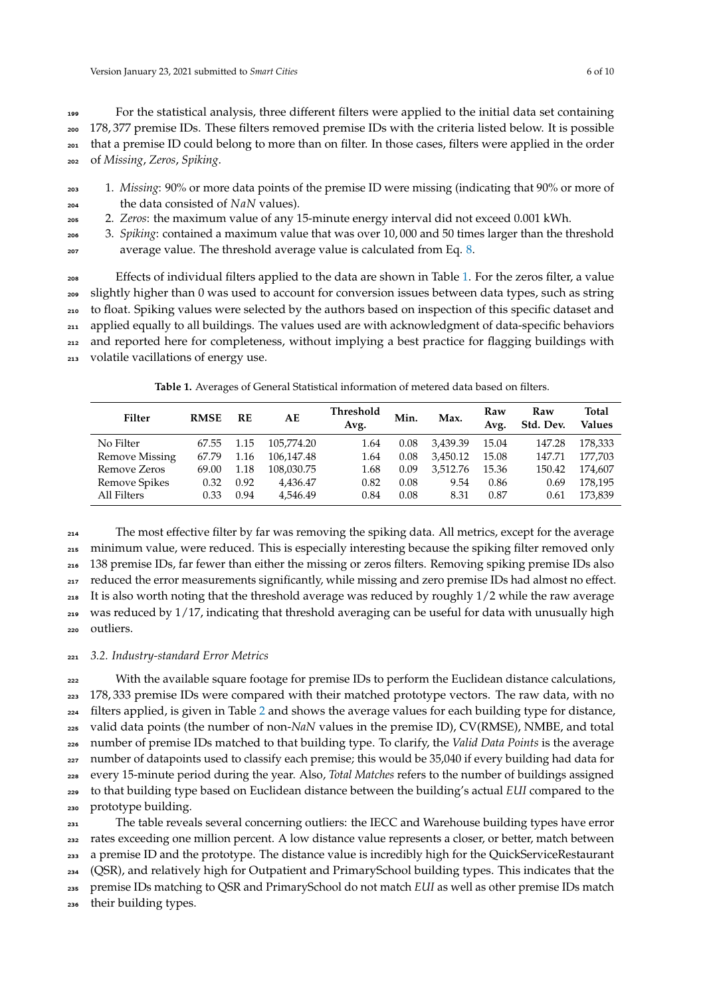For the statistical analysis, three different filters were applied to the initial data set containing 178, 377 premise IDs. These filters removed premise IDs with the criteria listed below. It is possible that a premise ID could belong to more than on filter. In those cases, filters were applied in the order of *Missing*, *Zeros*, *Spiking*.

- <sup>203</sup> 1. *Missing*: 90% or more data points of the premise ID were missing (indicating that 90% or more of the data consisted of *NaN* values).
- <sup>205</sup> 2. *Zeros*: the maximum value of any 15-minute energy interval did not exceed 0.001 kWh.
- <sup>206</sup> 3. *Spiking*: contained a maximum value that was over 10, 000 and 50 times larger than the threshold 207 average value. The threshold average value is calculated from Eq. [8.](#page-4-0)

Effects of individual filters applied to the data are shown in Table [1.](#page-5-0) For the zeros filter, a value slightly higher than 0 was used to account for conversion issues between data types, such as string to float. Spiking values were selected by the authors based on inspection of this specific dataset and applied equally to all buildings. The values used are with acknowledgment of data-specific behaviors and reported here for completeness, without implying a best practice for flagging buildings with volatile vacillations of energy use.

**Table 1.** Averages of General Statistical information of metered data based on filters.

<span id="page-5-0"></span>

| Filter                | <b>RMSE</b> | RE   | AЕ         | Threshold<br>Avg. | Min. | Max.     | Raw<br>Avg. | Raw<br>Std. Dev. | Total<br><b>Values</b> |
|-----------------------|-------------|------|------------|-------------------|------|----------|-------------|------------------|------------------------|
| No Filter             | 67.55       | 1.15 | 105.774.20 | 1.64              | 0.08 | 3,439.39 | 15.04       | 147.28           | 178,333                |
| <b>Remove Missing</b> | 67.79       | 1.16 | 106.147.48 | 1.64              | 0.08 | 3.450.12 | 15.08       | 147.71           | 177.703                |
| Remove Zeros          | 69.00       | 1.18 | 108,030.75 | 1.68              | 0.09 | 3.512.76 | 15.36       | 150.42           | 174.607                |
| Remove Spikes         | 0.32        | 0.92 | 4,436.47   | 0.82              | 0.08 | 9.54     | 0.86        | 0.69             | 178.195                |
| All Filters           | 0.33        | 0.94 | 4.546.49   | 0.84              | 0.08 | 8.31     | 0.87        | 0.61             | 173,839                |

 The most effective filter by far was removing the spiking data. All metrics, except for the average minimum value, were reduced. This is especially interesting because the spiking filter removed only 138 premise IDs, far fewer than either the missing or zeros filters. Removing spiking premise IDs also <sub>217</sub> reduced the error measurements significantly, while missing and zero premise IDs had almost no effect. It is also worth noting that the threshold average was reduced by roughly  $1/2$  while the raw average was reduced by 1/17, indicating that threshold averaging can be useful for data with unusually high outliers.

## <sup>221</sup> *3.2. Industry-standard Error Metrics*

<sup>222</sup> With the available square footage for premise IDs to perform the Euclidean distance calculations, 223 178, 333 premise IDs were compared with their matched prototype vectors. The raw data, with no filters applied, is given in Table [2](#page-6-0) and shows the average values for each building type for distance, valid data points (the number of non-*NaN* values in the premise ID), CV(RMSE), NMBE, and total number of premise IDs matched to that building type. To clarify, the *Valid Data Points* is the average <sup>227</sup> number of datapoints used to classify each premise; this would be 35,040 if every building had data for every 15-minute period during the year. Also, *Total Matches* refers to the number of buildings assigned to that building type based on Euclidean distance between the building's actual *EUI* compared to the prototype building.

 The table reveals several concerning outliers: the IECC and Warehouse building types have error rates exceeding one million percent. A low distance value represents a closer, or better, match between 233 a premise ID and the prototype. The distance value is incredibly high for the QuickServiceRestaurant (QSR), and relatively high for Outpatient and PrimarySchool building types. This indicates that the premise IDs matching to QSR and PrimarySchool do not match *EUI* as well as other premise IDs match their building types.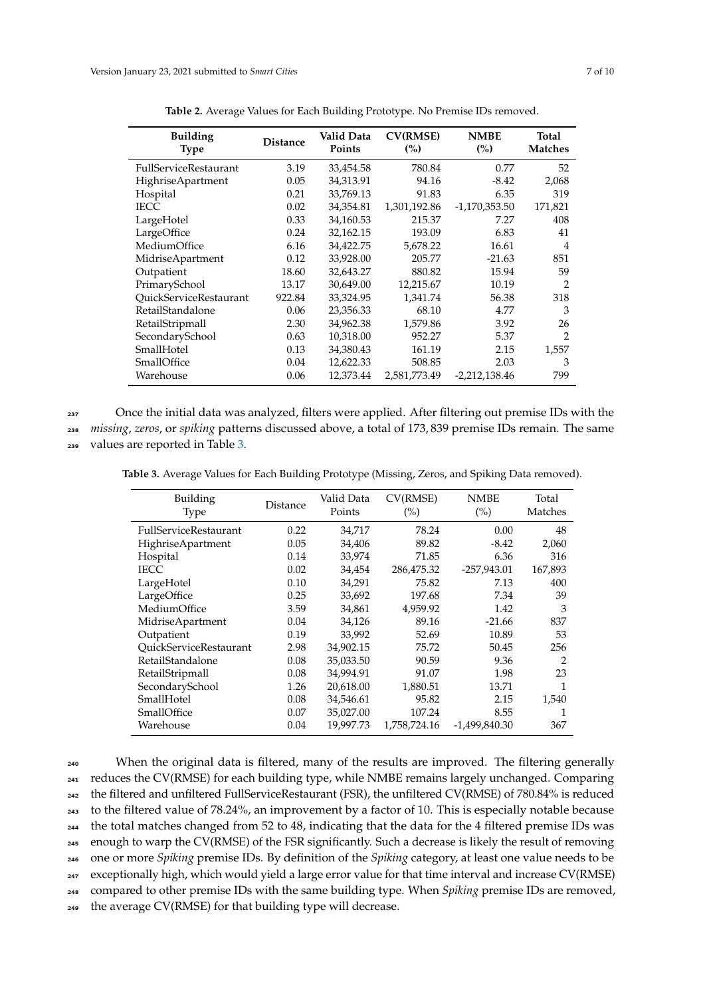<span id="page-6-0"></span>

| <b>Building</b><br><b>Type</b> | <b>Distance</b> | Valid Data<br>Points | <b>CV(RMSE)</b><br>(%) | <b>NMBE</b><br>(%) | <b>Total</b><br><b>Matches</b> |
|--------------------------------|-----------------|----------------------|------------------------|--------------------|--------------------------------|
| <b>FullServiceRestaurant</b>   | 3.19            | 33,454.58            | 780.84                 | 0.77               | 52                             |
| <b>HighriseApartment</b>       | 0.05            | 34,313.91            | 94.16                  | $-8.42$            | 2,068                          |
| Hospital                       | 0.21            | 33,769.13            | 91.83                  | 6.35               | 319                            |
| <b>IECC</b>                    | 0.02            | 34,354.81            | 1,301,192.86           | $-1,170,353.50$    | 171,821                        |
| LargeHotel                     | 0.33            | 34,160.53            | 215.37                 | 7.27               | 408                            |
| LargeOffice                    | 0.24            | 32,162.15            | 193.09                 | 6.83               | 41                             |
| MediumOffice                   | 6.16            | 34,422.75            | 5,678.22               | 16.61              | $\overline{4}$                 |
| MidriseApartment               | 0.12            | 33,928.00            | 205.77                 | $-21.63$           | 851                            |
| Outpatient                     | 18.60           | 32,643.27            | 880.82                 | 15.94              | 59                             |
| PrimarySchool                  | 13.17           | 30,649.00            | 12,215.67              | 10.19              | $\overline{2}$                 |
| QuickServiceRestaurant         | 922.84          | 33,324.95            | 1,341.74               | 56.38              | 318                            |
| RetailStandalone               | 0.06            | 23,356.33            | 68.10                  | 4.77               | 3                              |
| RetailStripmall                | 2.30            | 34,962.38            | 1,579.86               | 3.92               | 26                             |
| SecondarySchool                | 0.63            | 10,318.00            | 952.27                 | 5.37               | $\mathfrak{D}$                 |
| SmallHotel                     | 0.13            | 34,380.43            | 161.19                 | 2.15               | 1,557                          |
| SmallOffice                    | 0.04            | 12,622.33            | 508.85                 | 2.03               | 3                              |
| Warehouse                      | 0.06            | 12,373.44            | 2,581,773.49           | $-2,212,138.46$    | 799                            |

237 Once the initial data was analyzed, filters were applied. After filtering out premise IDs with the

<sup>238</sup> *missing*, *zeros*, or *spiking* patterns discussed above, a total of 173, 839 premise IDs remain. The same

<sup>239</sup> values are reported in Table [3.](#page-6-1)

<span id="page-6-1"></span>**Table 3.** Average Values for Each Building Prototype (Missing, Zeros, and Spiking Data removed).

| Building<br>Type         | Distance | Valid Data<br>Points | CV(RMSE)<br>$(\%)$ | <b>NMBE</b><br>(%) | Total<br>Matches |
|--------------------------|----------|----------------------|--------------------|--------------------|------------------|
| FullServiceRestaurant    | 0.22     | 34,717               | 78.24              | 0.00               | 48               |
| <b>HighriseApartment</b> | 0.05     | 34,406               | 89.82              | $-8.42$            | 2,060            |
| Hospital                 | 0.14     | 33,974               | 71.85              | 6.36               | 316              |
| <b>IECC</b>              | 0.02     | 34,454               | 286,475.32         | $-257,943.01$      | 167,893          |
| LargeHotel               | 0.10     | 34,291               | 75.82              | 7.13               | 400              |
| LargeOffice              | 0.25     | 33,692               | 197.68             | 7.34               | 39               |
| MediumOffice             | 3.59     | 34,861               | 4,959.92           | 1.42               | 3                |
| MidriseApartment         | 0.04     | 34,126               | 89.16              | $-21.66$           | 837              |
| Outpatient               | 0.19     | 33,992               | 52.69              | 10.89              | 53               |
| QuickServiceRestaurant   | 2.98     | 34,902.15            | 75.72              | 50.45              | 256              |
| RetailStandalone         | 0.08     | 35,033.50            | 90.59              | 9.36               | $\mathcal{P}$    |
| RetailStripmall          | 0.08     | 34,994.91            | 91.07              | 1.98               | 23               |
| SecondarySchool          | 1.26     | 20,618.00            | 1,880.51           | 13.71              | 1                |
| SmallHotel               | 0.08     | 34,546.61            | 95.82              | 2.15               | 1,540            |
| SmallOffice              | 0.07     | 35,027.00            | 107.24             | 8.55               |                  |
| Warehouse                | 0.04     | 19,997.73            | 1,758,724.16       | -1,499,840.30      | 367              |

<sup>240</sup> When the original data is filtered, many of the results are improved. The filtering generally <sup>241</sup> reduces the CV(RMSE) for each building type, while NMBE remains largely unchanged. Comparing <sup>242</sup> the filtered and unfiltered FullServiceRestaurant (FSR), the unfiltered CV(RMSE) of 780.84% is reduced <sup>243</sup> to the filtered value of 78.24%, an improvement by a factor of 10. This is especially notable because <sup>244</sup> the total matches changed from 52 to 48, indicating that the data for the 4 filtered premise IDs was <sup>245</sup> enough to warp the CV(RMSE) of the FSR significantly. Such a decrease is likely the result of removing <sup>246</sup> one or more *Spiking* premise IDs. By definition of the *Spiking* category, at least one value needs to be <sup>247</sup> exceptionally high, which would yield a large error value for that time interval and increase CV(RMSE) <sup>248</sup> compared to other premise IDs with the same building type. When *Spiking* premise IDs are removed, <sup>249</sup> the average CV(RMSE) for that building type will decrease.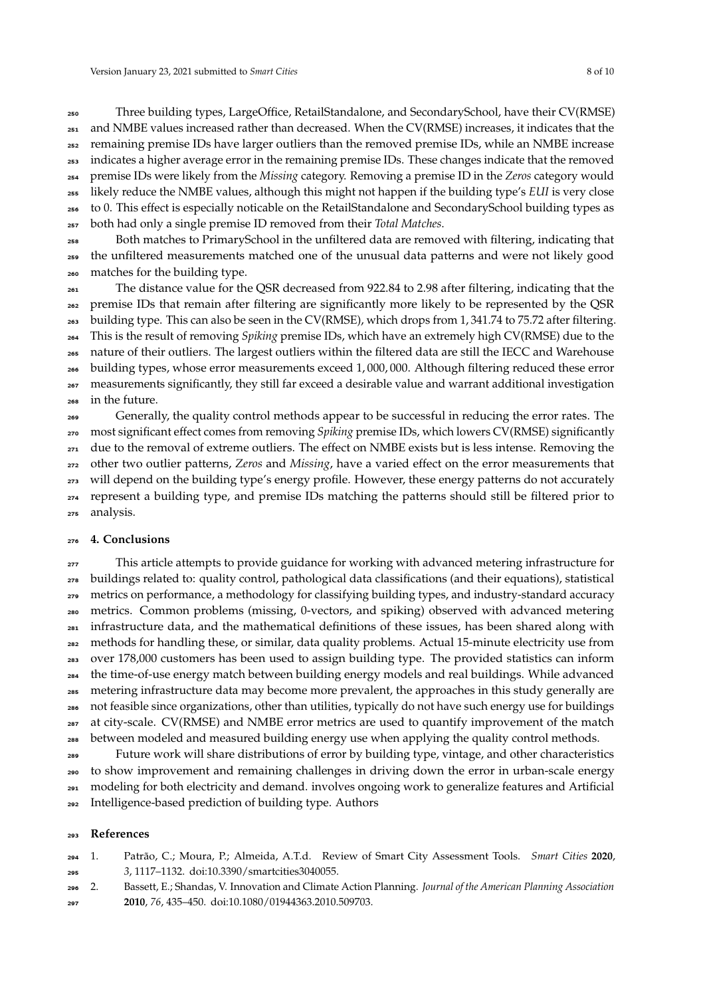Three building types, LargeOffice, RetailStandalone, and SecondarySchool, have their CV(RMSE) and NMBE values increased rather than decreased. When the CV(RMSE) increases, it indicates that the remaining premise IDs have larger outliers than the removed premise IDs, while an NMBE increase indicates a higher average error in the remaining premise IDs. These changes indicate that the removed premise IDs were likely from the *Missing* category. Removing a premise ID in the *Zeros* category would likely reduce the NMBE values, although this might not happen if the building type's *EUI* is very close to 0. This effect is especially noticable on the RetailStandalone and SecondarySchool building types as both had only a single premise ID removed from their *Total Matches*.

 Both matches to PrimarySchool in the unfiltered data are removed with filtering, indicating that the unfiltered measurements matched one of the unusual data patterns and were not likely good matches for the building type.

 The distance value for the QSR decreased from 922.84 to 2.98 after filtering, indicating that the premise IDs that remain after filtering are significantly more likely to be represented by the QSR building type. This can also be seen in the CV(RMSE), which drops from 1, 341.74 to 75.72 after filtering. This is the result of removing *Spiking* premise IDs, which have an extremely high CV(RMSE) due to the nature of their outliers. The largest outliers within the filtered data are still the IECC and Warehouse building types, whose error measurements exceed 1, 000, 000. Although filtering reduced these error measurements significantly, they still far exceed a desirable value and warrant additional investigation in the future.

Generally, the quality control methods appear to be successful in reducing the error rates. The most significant effect comes from removing *Spiking* premise IDs, which lowers CV(RMSE) significantly due to the removal of extreme outliers. The effect on NMBE exists but is less intense. Removing the other two outlier patterns, *Zeros* and *Missing*, have a varied effect on the error measurements that will depend on the building type's energy profile. However, these energy patterns do not accurately represent a building type, and premise IDs matching the patterns should still be filtered prior to analysis.

#### **4. Conclusions**

<sub>277</sub> This article attempts to provide guidance for working with advanced metering infrastructure for buildings related to: quality control, pathological data classifications (and their equations), statistical metrics on performance, a methodology for classifying building types, and industry-standard accuracy metrics. Common problems (missing, 0-vectors, and spiking) observed with advanced metering infrastructure data, and the mathematical definitions of these issues, has been shared along with methods for handling these, or similar, data quality problems. Actual 15-minute electricity use from over 178,000 customers has been used to assign building type. The provided statistics can inform the time-of-use energy match between building energy models and real buildings. While advanced metering infrastructure data may become more prevalent, the approaches in this study generally are not feasible since organizations, other than utilities, typically do not have such energy use for buildings at city-scale. CV(RMSE) and NMBE error metrics are used to quantify improvement of the match between modeled and measured building energy use when applying the quality control methods.

 Future work will share distributions of error by building type, vintage, and other characteristics to show improvement and remaining challenges in driving down the error in urban-scale energy modeling for both electricity and demand. involves ongoing work to generalize features and Artificial Intelligence-based prediction of building type. Authors

### **References**

- <span id="page-7-0"></span> 1. Patrão, C.; Moura, P.; Almeida, A.T.d. Review of Smart City Assessment Tools. *Smart Cities* **2020**, *3*, 1117–1132. doi[:10.3390/smartcities3040055.](https://doi.org/10.3390/smartcities3040055)
- <span id="page-7-1"></span>2. Bassett, E.; Shandas, V. Innovation and Climate Action Planning. *Journal of the American Planning Association*
- **2010**, *76*, 435–450. doi[:10.1080/01944363.2010.509703.](https://doi.org/10.1080/01944363.2010.509703)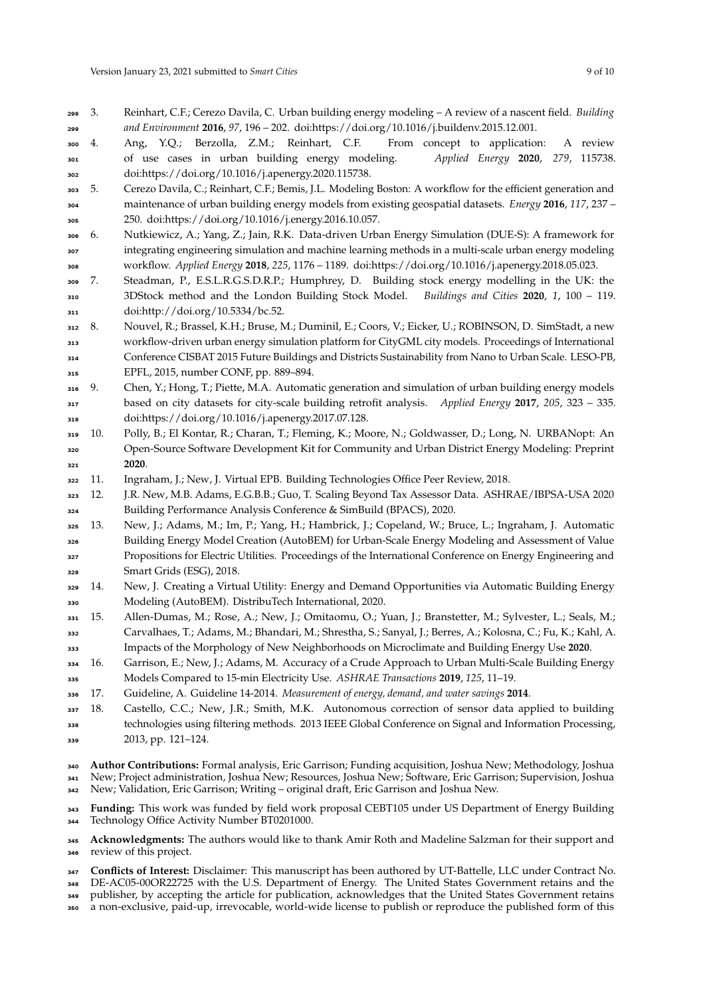<span id="page-8-1"></span><span id="page-8-0"></span> 4. Ang, Y.Q.; Berzolla, Z.M.; Reinhart, C.F. From concept to application: A review of use cases in urban building energy modeling. *Applied Energy* **2020**, *279*, 115738. doi[:https://doi.org/10.1016/j.apenergy.2020.115738.](https://doi.org/https://doi.org/10.1016/j.apenergy.2020.115738)

- <span id="page-8-2"></span> 5. Cerezo Davila, C.; Reinhart, C.F.; Bemis, J.L. Modeling Boston: A workflow for the efficient generation and maintenance of urban building energy models from existing geospatial datasets. *Energy* **2016**, *117*, 237 – 250. doi[:https://doi.org/10.1016/j.energy.2016.10.057.](https://doi.org/https://doi.org/10.1016/j.energy.2016.10.057)
- <span id="page-8-3"></span> 6. Nutkiewicz, A.; Yang, Z.; Jain, R.K. Data-driven Urban Energy Simulation (DUE-S): A framework for integrating engineering simulation and machine learning methods in a multi-scale urban energy modeling workflow. *Applied Energy* **2018**, *225*, 1176 – 1189. doi[:https://doi.org/10.1016/j.apenergy.2018.05.023.](https://doi.org/https://doi.org/10.1016/j.apenergy.2018.05.023)
- <span id="page-8-4"></span> 7. Steadman, P., E.S.L.R.G.S.D.R.P.; Humphrey, D. Building stock energy modelling in the UK: the 3DStock method and the London Building Stock Model. *Buildings and Cities* **2020**, *1*, 100 – 119. doi[:http://doi.org/10.5334/bc.52.](https://doi.org/http://doi.org/10.5334/bc.52)
- <span id="page-8-5"></span> 8. Nouvel, R.; Brassel, K.H.; Bruse, M.; Duminil, E.; Coors, V.; Eicker, U.; ROBINSON, D. SimStadt, a new workflow-driven urban energy simulation platform for CityGML city models. Proceedings of International Conference CISBAT 2015 Future Buildings and Districts Sustainability from Nano to Urban Scale. LESO-PB, EPFL, 2015, number CONF, pp. 889–894.
- <span id="page-8-6"></span> 9. Chen, Y.; Hong, T.; Piette, M.A. Automatic generation and simulation of urban building energy models based on city datasets for city-scale building retrofit analysis. *Applied Energy* **2017**, *205*, 323 – 335. doi[:https://doi.org/10.1016/j.apenergy.2017.07.128.](https://doi.org/https://doi.org/10.1016/j.apenergy.2017.07.128)
- <span id="page-8-7"></span> 10. Polly, B.; El Kontar, R.; Charan, T.; Fleming, K.; Moore, N.; Goldwasser, D.; Long, N. URBANopt: An Open-Source Software Development Kit for Community and Urban District Energy Modeling: Preprint **2020**.
- <span id="page-8-8"></span>11. Ingraham, J.; New, J. Virtual EPB. Building Technologies Office Peer Review, 2018.

<span id="page-8-9"></span> 12. J.R. New, M.B. Adams, E.G.B.B.; Guo, T. Scaling Beyond Tax Assessor Data. ASHRAE/IBPSA-USA 2020 Building Performance Analysis Conference & SimBuild (BPACS), 2020.

- <span id="page-8-10"></span> 13. New, J.; Adams, M.; Im, P.; Yang, H.; Hambrick, J.; Copeland, W.; Bruce, L.; Ingraham, J. Automatic Building Energy Model Creation (AutoBEM) for Urban-Scale Energy Modeling and Assessment of Value Propositions for Electric Utilities. Proceedings of the International Conference on Energy Engineering and Smart Grids (ESG), 2018.
- <span id="page-8-11"></span> 14. New, J. Creating a Virtual Utility: Energy and Demand Opportunities via Automatic Building Energy Modeling (AutoBEM). DistribuTech International, 2020.
- <span id="page-8-12"></span> 15. Allen-Dumas, M.; Rose, A.; New, J.; Omitaomu, O.; Yuan, J.; Branstetter, M.; Sylvester, L.; Seals, M.; Carvalhaes, T.; Adams, M.; Bhandari, M.; Shrestha, S.; Sanyal, J.; Berres, A.; Kolosna, C.; Fu, K.; Kahl, A.
- Impacts of the Morphology of New Neighborhoods on Microclimate and Building Energy Use **2020**.
- <span id="page-8-13"></span> 16. Garrison, E.; New, J.; Adams, M. Accuracy of a Crude Approach to Urban Multi-Scale Building Energy Models Compared to 15-min Electricity Use. *ASHRAE Transactions* **2019**, *125*, 11–19.
- <span id="page-8-14"></span>17. Guideline, A. Guideline 14-2014. *Measurement of energy, demand, and water savings* **2014**.
- <span id="page-8-15"></span>337 18. Castello, C.C.; New, J.R.; Smith, M.K. Autonomous correction of sensor data applied to building technologies using filtering methods. 2013 IEEE Global Conference on Signal and Information Processing, 2013, pp. 121–124.

 **Author Contributions:** Formal analysis, Eric Garrison; Funding acquisition, Joshua New; Methodology, Joshua New; Project administration, Joshua New; Resources, Joshua New; Software, Eric Garrison; Supervision, Joshua New; Validation, Eric Garrison; Writing – original draft, Eric Garrison and Joshua New.

 **Funding:** This work was funded by field work proposal CEBT105 under US Department of Energy Building Technology Office Activity Number BT0201000.

 **Acknowledgments:** The authors would like to thank Amir Roth and Madeline Salzman for their support and review of this project.

- **Conflicts of Interest:** Disclaimer: This manuscript has been authored by UT-Battelle, LLC under Contract No. DE-AC05-00OR22725 with the U.S. Department of Energy. The United States Government retains and the publisher, by accepting the article for publication, acknowledges that the United States Government retains
- a non-exclusive, paid-up, irrevocable, world-wide license to publish or reproduce the published form of this